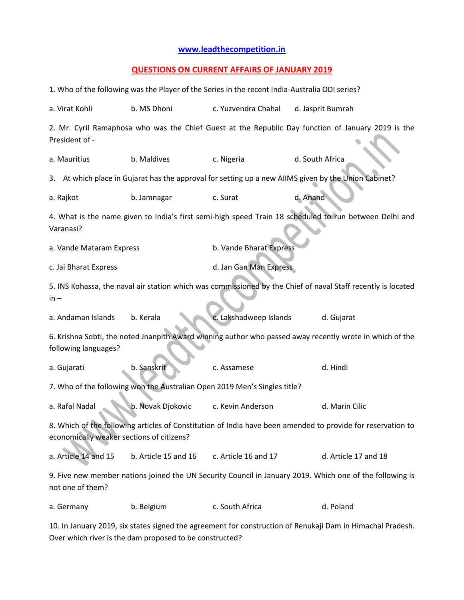## **[www.leadthecompetition.in](http://www.leadthecompetition.in/)**

## **QUESTIONS ON CURRENT AFFAIRS OF JANUARY 2019**

| 1. Who of the following was the Player of the Series in the recent India-Australia ODI series?                                                           |                      |                         |                                                                                                      |  |  |  |
|----------------------------------------------------------------------------------------------------------------------------------------------------------|----------------------|-------------------------|------------------------------------------------------------------------------------------------------|--|--|--|
| a. Virat Kohli                                                                                                                                           | b. MS Dhoni          | c. Yuzvendra Chahal     | d. Jasprit Bumrah                                                                                    |  |  |  |
| 2. Mr. Cyril Ramaphosa who was the Chief Guest at the Republic Day function of January 2019 is the<br>President of -                                     |                      |                         |                                                                                                      |  |  |  |
| a. Mauritius                                                                                                                                             | b. Maldives          | c. Nigeria              | d. South Africa                                                                                      |  |  |  |
|                                                                                                                                                          |                      |                         | 3. At which place in Gujarat has the approval for setting up a new AllMS given by the Union Cabinet? |  |  |  |
| a. Rajkot                                                                                                                                                | b. Jamnagar          | d. Anand<br>c. Surat    |                                                                                                      |  |  |  |
| 4. What is the name given to India's first semi-high speed Train 18 scheduled to run between Delhi and<br>Varanasi?                                      |                      |                         |                                                                                                      |  |  |  |
| a. Vande Mataram Express                                                                                                                                 |                      | b. Vande Bharat Express |                                                                                                      |  |  |  |
| c. Jai Bharat Express                                                                                                                                    |                      | d. Jan Gan Man Express  |                                                                                                      |  |  |  |
| 5. INS Kohassa, the naval air station which was commissioned by the Chief of naval Staff recently is located<br>$in -$                                   |                      |                         |                                                                                                      |  |  |  |
| a. Andaman Islands                                                                                                                                       | b. Kerala            | c. Lakshadweep Islands  | d. Gujarat                                                                                           |  |  |  |
| 6. Krishna Sobti, the noted Jnanpith Award winning author who passed away recently wrote in which of the<br>following languages?                         |                      |                         |                                                                                                      |  |  |  |
| a. Gujarati                                                                                                                                              | b. Sanskrit          | c. Assamese             | d. Hindi                                                                                             |  |  |  |
| 7. Who of the following won the Australian Open 2019 Men's Singles title?                                                                                |                      |                         |                                                                                                      |  |  |  |
| a. Rafal Nadal                                                                                                                                           | b. Novak Djokovic    | c. Kevin Anderson       | d. Marin Cilic                                                                                       |  |  |  |
| 8. Which of the following articles of Constitution of India have been amended to provide for reservation to<br>economically weaker sections of citizens? |                      |                         |                                                                                                      |  |  |  |
| a. Article 14 and 15                                                                                                                                     | b. Article 15 and 16 | c. Article 16 and 17    | d. Article 17 and 18                                                                                 |  |  |  |
| 9. Five new member nations joined the UN Security Council in January 2019. Which one of the following is<br>not one of them?                             |                      |                         |                                                                                                      |  |  |  |
| a. Germany                                                                                                                                               | b. Belgium           | c. South Africa         | d. Poland                                                                                            |  |  |  |
| 10. In January 2019, six states signed the agreement for construction of Renukaii Dam in Himachal Pradesh                                                |                      |                         |                                                                                                      |  |  |  |

ا January 2019, six states signed the agreement for construction of Renukaji Dam in Himachal Prades Over which river is the dam proposed to be constructed?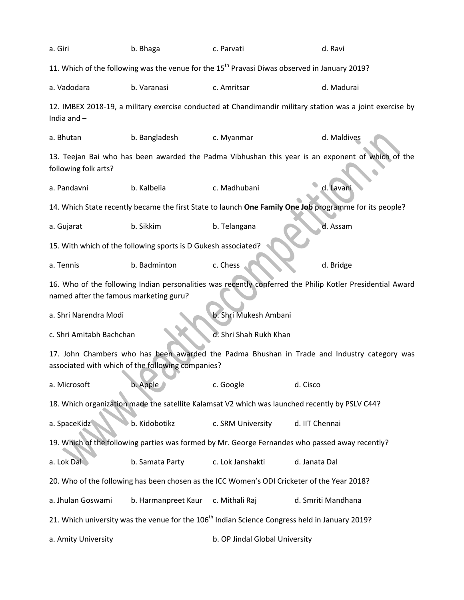| a. Giri                                                                                                                                             | b. Bhaga                                                       | c. Parvati                                                                                                | d. Ravi                                                                                                   |  |  |
|-----------------------------------------------------------------------------------------------------------------------------------------------------|----------------------------------------------------------------|-----------------------------------------------------------------------------------------------------------|-----------------------------------------------------------------------------------------------------------|--|--|
|                                                                                                                                                     |                                                                | 11. Which of the following was the venue for the 15 <sup>th</sup> Pravasi Diwas observed in January 2019? |                                                                                                           |  |  |
| a. Vadodara                                                                                                                                         | b. Varanasi                                                    | c. Amritsar                                                                                               | d. Madurai                                                                                                |  |  |
| India and $-$                                                                                                                                       |                                                                |                                                                                                           | 12. IMBEX 2018-19, a military exercise conducted at Chandimandir military station was a joint exercise by |  |  |
| a. Bhutan                                                                                                                                           | b. Bangladesh                                                  | c. Myanmar                                                                                                | d. Maldives                                                                                               |  |  |
| following folk arts?                                                                                                                                |                                                                |                                                                                                           | 13. Teejan Bai who has been awarded the Padma Vibhushan this year is an exponent of which of the          |  |  |
| a. Pandavni                                                                                                                                         | b. Kalbelia                                                    | c. Madhubani                                                                                              | d. Lavani                                                                                                 |  |  |
|                                                                                                                                                     |                                                                |                                                                                                           | 14. Which State recently became the first State to launch One Family One Job programme for its people?    |  |  |
| a. Gujarat                                                                                                                                          | b. Sikkim                                                      | b. Telangana                                                                                              | d. Assam                                                                                                  |  |  |
|                                                                                                                                                     | 15. With which of the following sports is D Gukesh associated? |                                                                                                           |                                                                                                           |  |  |
| a. Tennis                                                                                                                                           | b. Badminton                                                   | c. Chess                                                                                                  | d. Bridge                                                                                                 |  |  |
| 16. Who of the following Indian personalities was recently conferred the Philip Kotler Presidential Award<br>named after the famous marketing guru? |                                                                |                                                                                                           |                                                                                                           |  |  |
| a. Shri Narendra Modi                                                                                                                               |                                                                | b. Shri Mukesh Ambani                                                                                     |                                                                                                           |  |  |
| c. Shri Amitabh Bachchan                                                                                                                            |                                                                | d. Shri Shah Rukh Khan                                                                                    |                                                                                                           |  |  |
| 17. John Chambers who has been awarded the Padma Bhushan in Trade and Industry category was<br>associated with which of the following companies?    |                                                                |                                                                                                           |                                                                                                           |  |  |
| a. Microsoft                                                                                                                                        | b. Apple                                                       | c. Google                                                                                                 | d. Cisco                                                                                                  |  |  |
| 18. Which organization made the satellite Kalamsat V2 which was launched recently by PSLV C44?                                                      |                                                                |                                                                                                           |                                                                                                           |  |  |
| a. SpaceKidz                                                                                                                                        | b. Kidobotikz                                                  | c. SRM University                                                                                         | d. IIT Chennai                                                                                            |  |  |
| 19. Which of the following parties was formed by Mr. George Fernandes who passed away recently?                                                     |                                                                |                                                                                                           |                                                                                                           |  |  |
| a. Lok Dal                                                                                                                                          | b. Samata Party                                                | c. Lok Janshakti                                                                                          | d. Janata Dal                                                                                             |  |  |
| 20. Who of the following has been chosen as the ICC Women's ODI Cricketer of the Year 2018?                                                         |                                                                |                                                                                                           |                                                                                                           |  |  |
| a. Jhulan Goswami                                                                                                                                   | b. Harmanpreet Kaur                                            | c. Mithali Raj                                                                                            | d. Smriti Mandhana                                                                                        |  |  |
| 21. Which university was the venue for the 106 <sup>th</sup> Indian Science Congress held in January 2019?                                          |                                                                |                                                                                                           |                                                                                                           |  |  |
| a. Amity University                                                                                                                                 |                                                                | b. OP Jindal Global University                                                                            |                                                                                                           |  |  |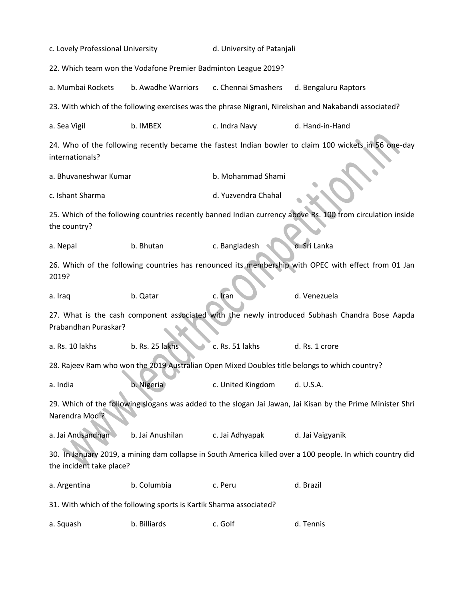| c. Lovely Professional University                                                                                                      |                                                                                                       | d. University of Patanjali |                                                                                                            |  |  |  |
|----------------------------------------------------------------------------------------------------------------------------------------|-------------------------------------------------------------------------------------------------------|----------------------------|------------------------------------------------------------------------------------------------------------|--|--|--|
| 22. Which team won the Vodafone Premier Badminton League 2019?                                                                         |                                                                                                       |                            |                                                                                                            |  |  |  |
| a. Mumbai Rockets                                                                                                                      | b. Awadhe Warriors                                                                                    | c. Chennai Smashers        | d. Bengaluru Raptors                                                                                       |  |  |  |
|                                                                                                                                        | 23. With which of the following exercises was the phrase Nigrani, Nirekshan and Nakabandi associated? |                            |                                                                                                            |  |  |  |
| a. Sea Vigil                                                                                                                           | b. IMBEX                                                                                              | c. Indra Navy              | d. Hand-in-Hand                                                                                            |  |  |  |
| internationals?                                                                                                                        |                                                                                                       |                            | 24. Who of the following recently became the fastest Indian bowler to claim 100 wickets in 56 one-day      |  |  |  |
| a. Bhuvaneshwar Kumar                                                                                                                  |                                                                                                       | b. Mohammad Shami          |                                                                                                            |  |  |  |
| c. Ishant Sharma                                                                                                                       |                                                                                                       | d. Yuzvendra Chahal        |                                                                                                            |  |  |  |
| the country?                                                                                                                           |                                                                                                       |                            | 25. Which of the following countries recently banned Indian currency above Rs. 100 from circulation inside |  |  |  |
| a. Nepal                                                                                                                               | b. Bhutan                                                                                             | c. Bangladesh              | d. Sri Lanka                                                                                               |  |  |  |
| 2019?                                                                                                                                  | 26. Which of the following countries has renounced its membership with OPEC with effect from 01 Jan   |                            |                                                                                                            |  |  |  |
| a. Iraq                                                                                                                                | b. Qatar                                                                                              | c. Iran                    | d. Venezuela                                                                                               |  |  |  |
| 27. What is the cash component associated with the newly introduced Subhash Chandra Bose Aapda<br>Prabandhan Puraskar?                 |                                                                                                       |                            |                                                                                                            |  |  |  |
| a. Rs. 10 lakhs                                                                                                                        | b. Rs. 25 lakhs                                                                                       | c. Rs. 51 lakhs            | d. Rs. 1 crore                                                                                             |  |  |  |
| 28. Rajeev Ram who won the 2019 Australian Open Mixed Doubles title belongs to which country?                                          |                                                                                                       |                            |                                                                                                            |  |  |  |
| a. India                                                                                                                               | b. Nigeria                                                                                            | c. United Kingdom          | d. U.S.A.                                                                                                  |  |  |  |
| 29. Which of the following slogans was added to the slogan Jai Jawan, Jai Kisan by the Prime Minister Shri<br>Narendra Modi?           |                                                                                                       |                            |                                                                                                            |  |  |  |
| a. Jai Anusandhan                                                                                                                      | b. Jai Anushilan                                                                                      | c. Jai Adhyapak            | d. Jai Vaigyanik                                                                                           |  |  |  |
| 30. In January 2019, a mining dam collapse in South America killed over a 100 people. In which country did<br>the incident take place? |                                                                                                       |                            |                                                                                                            |  |  |  |
| a. Argentina                                                                                                                           | b. Columbia                                                                                           | c. Peru                    | d. Brazil                                                                                                  |  |  |  |
| 31. With which of the following sports is Kartik Sharma associated?                                                                    |                                                                                                       |                            |                                                                                                            |  |  |  |
| a. Squash                                                                                                                              | b. Billiards                                                                                          | c. Golf                    | d. Tennis                                                                                                  |  |  |  |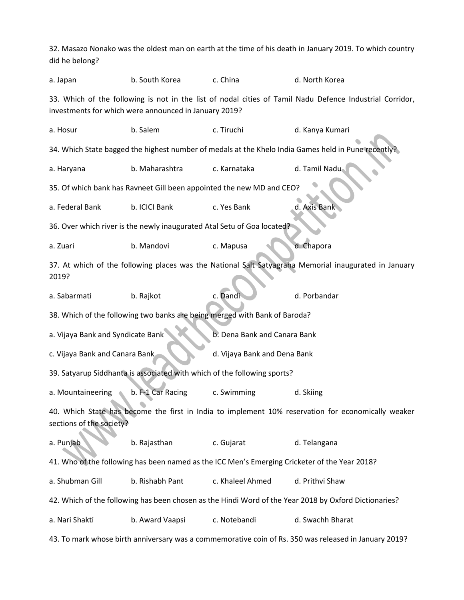32. Masazo Nonako was the oldest man on earth at the time of his death in January 2019. To which country did he belong?

a. Japan b. South Korea c. China d. North Korea 33. Which of the following is not in the list of nodal cities of Tamil Nadu Defence Industrial Corridor, investments for which were announced in January 2019? a. Hosur b. Salem c. Tiruchi d. Kanya Kumari 34. Which State bagged the highest number of medals at the Khelo India Games held in Pune recently a. Haryana b. Maharashtra c. Karnataka d. Tamil Nadu 35. Of which bank has Ravneet Gill been appointed the new MD and CEO? a. Federal Bank b. ICICI Bank c. Yes Bank d. Axis Bank 36. Over which river is the newly inaugurated Atal Setu of Goa located? a. Zuari b. Mandovi c. Mapusa d. Chapora 37. At which of the following places was the National Salt Satyagraha Memorial inaugurated in January 2019? a. Sabarmati b. Rajkot c. Dandi d. Porbandar 38. Which of the following two banks are being merged with Bank of Baroda? a. Vijaya Bank and Syndicate Bank b. Dena Bank and Canara Bank c. Vijaya Bank and Canara Bank d. Vijaya Bank and Dena Bank 39. Satyarup Siddhanta is associated with which of the following sports? a. Mountaineering b. F-1 Car Racing c. Swimming d. Skiing 40. Which State has become the first in India to implement 10% reservation for economically weaker sections of the society? a. Punjab b. Rajasthan c. Gujarat d. Telangana 41. Who of the following has been named as the ICC Men's Emerging Cricketer of the Year 2018? a. Shubman Gill b. Rishabh Pant c. Khaleel Ahmed d. Prithvi Shaw 42. Which of the following has been chosen as the Hindi Word of the Year 2018 by Oxford Dictionaries? a. Nari Shakti b. Award Vaapsi c. Notebandi d. Swachh Bharat 43. To mark whose birth anniversary was a commemorative coin of Rs. 350 was released in January 2019?